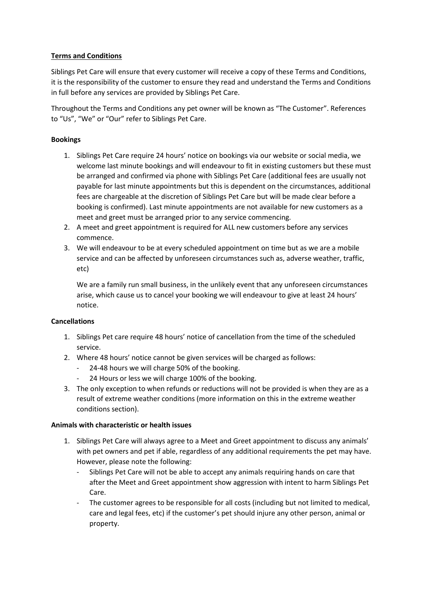# Terms and Conditions

Siblings Pet Care will ensure that every customer will receive a copy of these Terms and Conditions, it is the responsibility of the customer to ensure they read and understand the Terms and Conditions in full before any services are provided by Siblings Pet Care.

Throughout the Terms and Conditions any pet owner will be known as "The Customer". References to "Us", "We" or "Our" refer to Siblings Pet Care.

## Bookings

- 1. Siblings Pet Care require 24 hours' notice on bookings via our website or social media, we welcome last minute bookings and will endeavour to fit in existing customers but these must be arranged and confirmed via phone with Siblings Pet Care (additional fees are usually not payable for last minute appointments but this is dependent on the circumstances, additional fees are chargeable at the discretion of Siblings Pet Care but will be made clear before a booking is confirmed). Last minute appointments are not available for new customers as a meet and greet must be arranged prior to any service commencing.
- 2. A meet and greet appointment is required for ALL new customers before any services commence.
- 3. We will endeavour to be at every scheduled appointment on time but as we are a mobile service and can be affected by unforeseen circumstances such as, adverse weather, traffic, etc)

We are a family run small business, in the unlikely event that any unforeseen circumstances arise, which cause us to cancel your booking we will endeavour to give at least 24 hours' notice.

### Cancellations

- 1. Siblings Pet care require 48 hours' notice of cancellation from the time of the scheduled service.
- 2. Where 48 hours' notice cannot be given services will be charged as follows:
	- 24-48 hours we will charge 50% of the booking.
	- 24 Hours or less we will charge 100% of the booking.
- 3. The only exception to when refunds or reductions will not be provided is when they are as a result of extreme weather conditions (more information on this in the extreme weather conditions section).

### Animals with characteristic or health issues

- 1. Siblings Pet Care will always agree to a Meet and Greet appointment to discuss any animals' with pet owners and pet if able, regardless of any additional requirements the pet may have. However, please note the following:
	- Siblings Pet Care will not be able to accept any animals requiring hands on care that after the Meet and Greet appointment show aggression with intent to harm Siblings Pet Care.
	- The customer agrees to be responsible for all costs (including but not limited to medical, care and legal fees, etc) if the customer's pet should injure any other person, animal or property.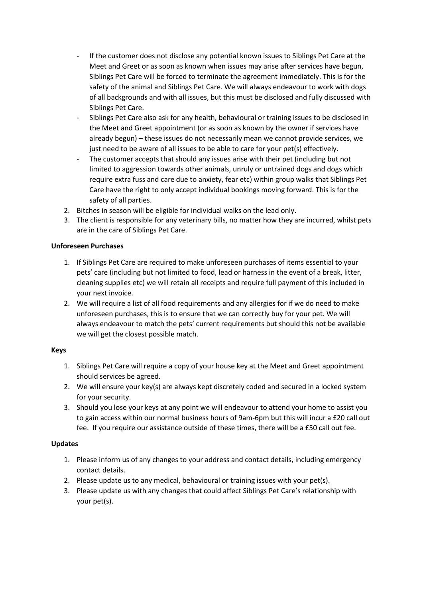- If the customer does not disclose any potential known issues to Siblings Pet Care at the Meet and Greet or as soon as known when issues may arise after services have begun, Siblings Pet Care will be forced to terminate the agreement immediately. This is for the safety of the animal and Siblings Pet Care. We will always endeavour to work with dogs of all backgrounds and with all issues, but this must be disclosed and fully discussed with Siblings Pet Care.
- Siblings Pet Care also ask for any health, behavioural or training issues to be disclosed in the Meet and Greet appointment (or as soon as known by the owner if services have already begun) – these issues do not necessarily mean we cannot provide services, we just need to be aware of all issues to be able to care for your pet(s) effectively.
- The customer accepts that should any issues arise with their pet (including but not limited to aggression towards other animals, unruly or untrained dogs and dogs which require extra fuss and care due to anxiety, fear etc) within group walks that Siblings Pet Care have the right to only accept individual bookings moving forward. This is for the safety of all parties.
- 2. Bitches in season will be eligible for individual walks on the lead only.
- 3. The client is responsible for any veterinary bills, no matter how they are incurred, whilst pets are in the care of Siblings Pet Care.

## Unforeseen Purchases

- 1. If Siblings Pet Care are required to make unforeseen purchases of items essential to your pets' care (including but not limited to food, lead or harness in the event of a break, litter, cleaning supplies etc) we will retain all receipts and require full payment of this included in your next invoice.
- 2. We will require a list of all food requirements and any allergies for if we do need to make unforeseen purchases, this is to ensure that we can correctly buy for your pet. We will always endeavour to match the pets' current requirements but should this not be available we will get the closest possible match.

# Keys

- 1. Siblings Pet Care will require a copy of your house key at the Meet and Greet appointment should services be agreed.
- 2. We will ensure your key(s) are always kept discretely coded and secured in a locked system for your security.
- 3. Should you lose your keys at any point we will endeavour to attend your home to assist you to gain access within our normal business hours of 9am-6pm but this will incur a £20 call out fee. If you require our assistance outside of these times, there will be a £50 call out fee.

# Updates

- 1. Please inform us of any changes to your address and contact details, including emergency contact details.
- 2. Please update us to any medical, behavioural or training issues with your pet(s).
- 3. Please update us with any changes that could affect Siblings Pet Care's relationship with your pet(s).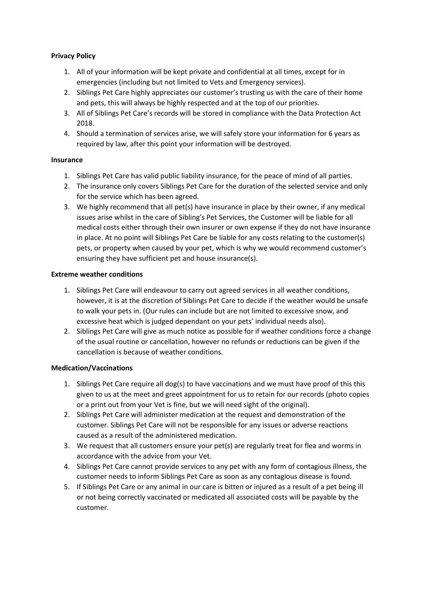## Privacy Policy

- 1. All of your information will be kept private and confidential at all times, except for in emergencies (including but not limited to Vets and Emergency services).
- 2. Siblings Pet Care highly appreciates our customer's trusting us with the care of their home and pets, this will always be highly respected and at the top of our priorities.
- 3. All of Siblings Pet Care's records will be stored in compliance with the Data Protection Act 2018.
- 4. Should a termination of services arise, we will safely store your information for 6 years as required by law, after this point your information will be destroyed.

### Insurance

- 1. Siblings Pet Care has valid public liability insurance, for the peace of mind of all parties.
- 2. The insurance only covers Siblings Pet Care for the duration of the selected service and only for the service which has been agreed.
- 3. We highly recommend that all pet(s) have insurance in place by their owner, if any medical issues arise whilst in the care of Sibling's Pet Services, the Customer will be liable for all medical costs either through their own insurer or own expense if they do not have insurance in place. At no point will Siblings Pet Care be liable for any costs relating to the customer(s) pets, or property when caused by your pet, which is why we would recommend customer's ensuring they have sufficient pet and house insurance(s).

## Extreme weather conditions

- 1. Siblings Pet Care will endeavour to carry out agreed services in all weather conditions, however, it is at the discretion of Siblings Pet Care to decide if the weather would be unsafe to walk your pets in. (Our rules can include but are not limited to excessive snow, and excessive heat which is judged dependant on your pets' individual needs also).
- 2. Siblings Pet Care will give as much notice as possible for if weather conditions force a change of the usual routine or cancellation, however no refunds or reductions can be given if the cancellation is because of weather conditions.

# Medication/Vaccinations

- 1. Siblings Pet Care require all dog(s) to have vaccinations and we must have proof of this this given to us at the meet and greet appointment for us to retain for our records (photo copies or a print out from your Vet is fine, but we will need sight of the original).
- 2. Siblings Pet Care will administer medication at the request and demonstration of the customer. Siblings Pet Care will not be responsible for any issues or adverse reactions caused as a result of the administered medication.
- 3. We request that all customers ensure your pet(s) are regularly treat for flea and worms in accordance with the advice from your Vet.
- 4. Siblings Pet Care cannot provide services to any pet with any form of contagious illness, the customer needs to inform Siblings Pet Care as soon as any contagious disease is found.
- 5. If Siblings Pet Care or any animal in our care is bitten or injured as a result of a pet being ill or not being correctly vaccinated or medicated all associated costs will be payable by the customer.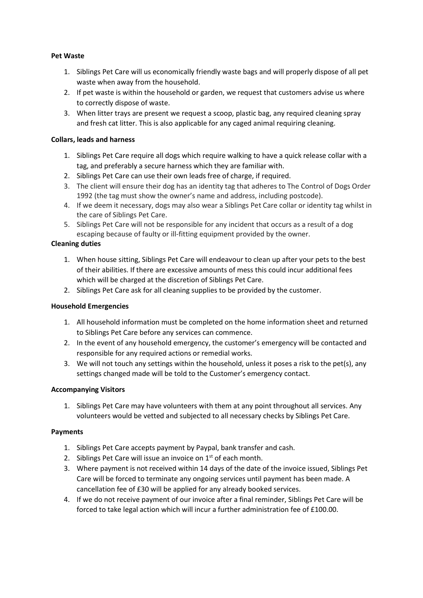## Pet Waste

- 1. Siblings Pet Care will us economically friendly waste bags and will properly dispose of all pet waste when away from the household.
- 2. If pet waste is within the household or garden, we request that customers advise us where to correctly dispose of waste.
- 3. When litter trays are present we request a scoop, plastic bag, any required cleaning spray and fresh cat litter. This is also applicable for any caged animal requiring cleaning.

## Collars, leads and harness

- 1. Siblings Pet Care require all dogs which require walking to have a quick release collar with a tag, and preferably a secure harness which they are familiar with.
- 2. Siblings Pet Care can use their own leads free of charge, if required.
- 3. The client will ensure their dog has an identity tag that adheres to The Control of Dogs Order 1992 (the tag must show the owner's name and address, including postcode).
- 4. If we deem it necessary, dogs may also wear a Siblings Pet Care collar or identity tag whilst in the care of Siblings Pet Care.
- 5. Siblings Pet Care will not be responsible for any incident that occurs as a result of a dog escaping because of faulty or ill-fitting equipment provided by the owner.

## Cleaning duties

- 1. When house sitting, Siblings Pet Care will endeavour to clean up after your pets to the best of their abilities. If there are excessive amounts of mess this could incur additional fees which will be charged at the discretion of Siblings Pet Care.
- 2. Siblings Pet Care ask for all cleaning supplies to be provided by the customer.

### Household Emergencies

- 1. All household information must be completed on the home information sheet and returned to Siblings Pet Care before any services can commence.
- 2. In the event of any household emergency, the customer's emergency will be contacted and responsible for any required actions or remedial works.
- 3. We will not touch any settings within the household, unless it poses a risk to the pet(s), any settings changed made will be told to the Customer's emergency contact.

### Accompanying Visitors

1. Siblings Pet Care may have volunteers with them at any point throughout all services. Any volunteers would be vetted and subjected to all necessary checks by Siblings Pet Care.

### Payments

- 1. Siblings Pet Care accepts payment by Paypal, bank transfer and cash.
- 2. Siblings Pet Care will issue an invoice on  $1<sup>st</sup>$  of each month.
- 3. Where payment is not received within 14 days of the date of the invoice issued, Siblings Pet Care will be forced to terminate any ongoing services until payment has been made. A cancellation fee of £30 will be applied for any already booked services.
- 4. If we do not receive payment of our invoice after a final reminder, Siblings Pet Care will be forced to take legal action which will incur a further administration fee of £100.00.